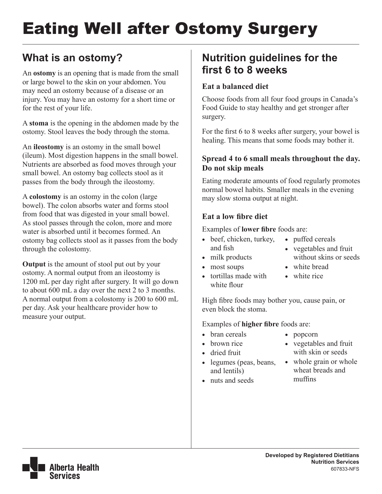# Eating Well after Ostomy Surgery

### **What is an ostomy?**

An **ostomy** is an opening that is made from the small or large bowel to the skin on your abdomen. You may need an ostomy because of a disease or an injury. You may have an ostomy for a short time or for the rest of your life.

A **stoma** is the opening in the abdomen made by the ostomy. Stool leaves the body through the stoma.

An **ileostomy** is an ostomy in the small bowel (ileum). Most digestion happens in the small bowel. Nutrients are absorbed as food moves through your small bowel. An ostomy bag collects stool as it passes from the body through the ileostomy.

A **colostomy** is an ostomy in the colon (large bowel). The colon absorbs water and forms stool from food that was digested in your small bowel. As stool passes through the colon, more and more water is absorbed until it becomes formed. An ostomy bag collects stool as it passes from the body through the colostomy.

**Output** is the amount of stool put out by your ostomy. A normal output from an ileostomy is 1200 mL per day right after surgery. It will go down to about 600 mL a day over the next 2 to 3 months. A normal output from a colostomy is 200 to 600 mL per day. Ask your healthcare provider how to measure your output.

### **Nutrition guidelines for the first 6 to 8 weeks**

#### **Eat a balanced diet**

Choose foods from all four food groups in Canada's Food Guide to stay healthy and get stronger after surgery.

For the first 6 to 8 weeks after surgery, your bowel is healing. This means that some foods may bother it.

#### **Spread 4 to 6 small meals throughout the day. Do not skip meals**

Eating moderate amounts of food regularly promotes normal bowel habits. Smaller meals in the evening may slow stoma output at night.

#### **Eat a low fibre diet**

Examples of **lower fibre** foods are:

- beef, chicken, turkey, and fish
- puffed cereals
	- vegetables and fruit without skins or seeds
- milk products
- most soups • tortillas made with white flour
- white bread • white rice

High fibre foods may bother you, cause pain, or even block the stoma.

Examples of **higher fibre** foods are:

- bran cereals
- brown rice
- dried fruit
- legumes (peas, beans, and lentils)
- nuts and seeds
- popcorn
- • vegetables and fruit with skin or seeds
- whole grain or whole wheat breads and muffins

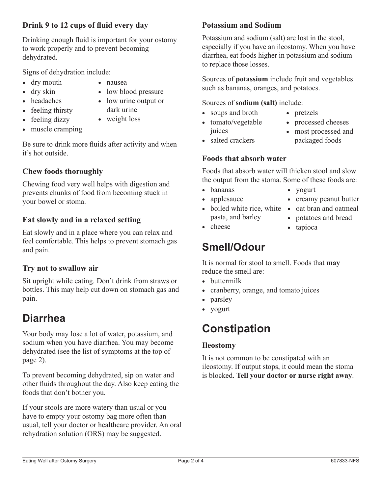#### **Drink 9 to 12 cups of fluid every day**

Drinking enough fluid is important for your ostomy to work properly and to prevent becoming dehydrated.

Signs of dehydration include:

- dry mouth
- dry skin • headaches
- • nausea • low blood pressure
- low urine output or
- feeling thirsty
- dark urine • weight loss
- feeling dizzy • muscle cramping

Be sure to drink more fluids after activity and when it's hot outside.

#### **Chew foods thoroughly**

Chewing food very well helps with digestion and prevents chunks of food from becoming stuck in your bowel or stoma.

#### **Eat slowly and in a relaxed setting**

Eat slowly and in a place where you can relax and feel comfortable. This helps to prevent stomach gas and pain.

#### **Try not to swallow air**

Sit upright while eating. Don't drink from straws or bottles. This may help cut down on stomach gas and pain.

### **Diarrhea**

Your body may lose a lot of water, potassium, and sodium when you have diarrhea. You may become dehydrated (see the list of symptoms at the top of page 2).

To prevent becoming dehydrated, sip on water and other fluids throughout the day. Also keep eating the foods that don't bother you.

If your stools are more watery than usual or you have to empty your ostomy bag more often than usual, tell your doctor or healthcare provider. An oral rehydration solution (ORS) may be suggested.

#### **Potassium and Sodium**

Potassium and sodium (salt) are lost in the stool, especially if you have an ileostomy. When you have diarrhea, eat foods higher in potassium and sodium to replace those losses.

Sources of **potassium** include fruit and vegetables such as bananas, oranges, and potatoes.

#### Sources of **sodium (salt)** include:

- soups and broth
- tomato/vegetable juices
- pretzels
- processed cheeses
- most processed and packaged foods

• creamy peanut butter

• salted crackers

## **Foods that absorb water**

Foods that absorb water will thicken stool and slow the output from the stoma. Some of these foods are:

- • bananas
- applesauce
- boiled white rice, white oat bran and oatmeal pasta, and barley
	- • potatoes and bread • tapioca

• yogurt

• cheese

### **Smell/Odour**

It is normal for stool to smell. Foods that **may** reduce the smell are:

- buttermilk
- cranberry, orange, and tomato juices
- parsley
- yogurt

### **Constipation**

#### **Ileostomy**

It is not common to be constipated with an ileostomy. If output stops, it could mean the stoma is blocked. **Tell your doctor or nurse right away**.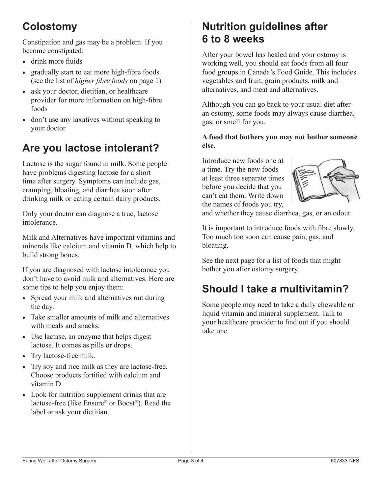### **Colostomy**

Constipation and gas may be a problem. If you become constipated:

- drink more fluids
- gradually start to eat more high-fibre foods (see the list of *higher fibre foods* on page 1)
- ask your doctor, dietitian, or healthcare provider for more information on high-fibre foods
- don't use any laxatives without speaking to your doctor

### **Are you lactose intolerant?**

Lactose is the sugar found in milk. Some people have problems digesting lactose for a short time after surgery. Symptoms can include gas, cramping, bloating, and diarrhea soon after drinking milk or eating certain dairy products.

Only your doctor can diagnose a true, lactose intolerance.

Milk and Alternatives have important vitamins and minerals like calcium and vitamin D, which help to build strong bones.

If you are diagnosed with lactose intolerance you don't have to avoid milk and alternatives. Here are some tips to help you enjoy them:

- Spread your milk and alternatives out during the day.
- Take smaller amounts of milk and alternatives with meals and snacks.
- Use lactase, an enzyme that helps digest lactose. It comes as pills or drops.
- Try lactose-free milk.
- Try soy and rice milk as they are lactose-free. Choose products fortified with calcium and vitamin D.
- Look for nutrition supplement drinks that are lactose-free (like Ensure® or Boost®). Read the label or ask your dietitian.

### **Nutrition guidelines after 6 to 8 weeks**

After your bowel has healed and your ostomy is working well, you should eat foods from all four food groups in Canada's Food Guide. This includes vegetables and fruit, grain products, milk and alternatives, and meat and alternatives.

Although you can go back to your usual diet after an ostomy, some foods may always cause diarrhea, gas, or smell for you.

**A food that bothers you may not bother someone else.**

Introduce new foods one at a time. Try the new foods at least three separate times before you decide that you can't eat them. Write down the names of foods you try,



and whether they cause diarrhea, gas, or an odour.

It is important to introduce foods with fibre slowly. Too much too soon can cause pain, gas, and bloating.

See the next page for a list of foods that might bother you after ostomy surgery.

### **Should I take a multivitamin?**

Some people may need to take a daily chewable or liquid vitamin and mineral supplement. Talk to your healthcare provider to find out if you should take one.